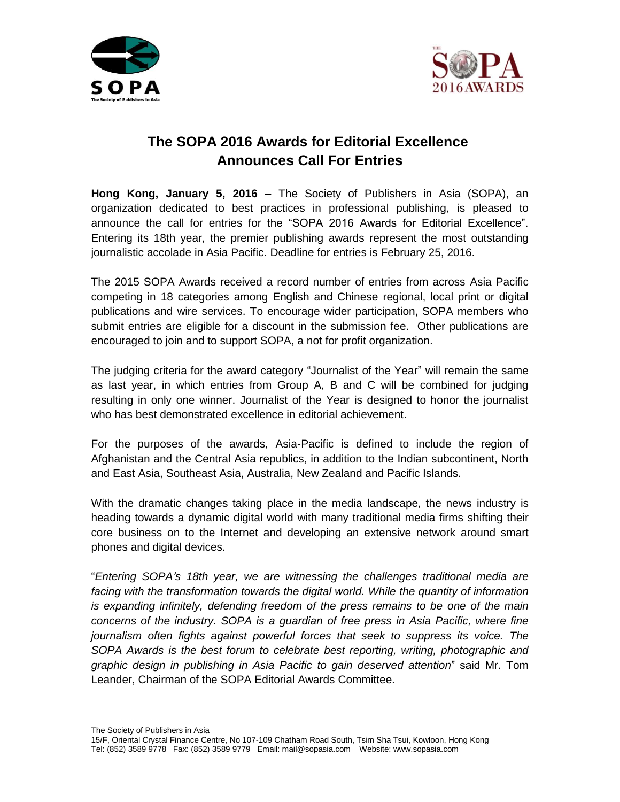



## **The SOPA 2016 Awards for Editorial Excellence Announces Call For Entries**

**Hong Kong, January 5, 2016 –** The Society of Publishers in Asia (SOPA), an organization dedicated to best practices in professional publishing, is pleased to announce the call for entries for the "SOPA 2016 Awards for Editorial Excellence". Entering its 18th year, the premier publishing awards represent the most outstanding journalistic accolade in Asia Pacific. Deadline for entries is February 25, 2016.

The 2015 SOPA Awards received a record number of entries from across Asia Pacific competing in 18 categories among English and Chinese regional, local print or digital publications and wire services. To encourage wider participation, SOPA members who submit entries are eligible for a discount in the submission fee. Other publications are encouraged to join and to support SOPA, a not for profit organization.

The judging criteria for the award category "Journalist of the Year" will remain the same as last year, in which entries from Group A, B and C will be combined for judging resulting in only one winner. Journalist of the Year is designed to honor the journalist who has best demonstrated excellence in editorial achievement.

For the purposes of the awards, Asia-Pacific is defined to include the region of Afghanistan and the Central Asia republics, in addition to the Indian subcontinent, North and East Asia, Southeast Asia, Australia, New Zealand and Pacific Islands.

With the dramatic changes taking place in the media landscape, the news industry is heading towards a dynamic digital world with many traditional media firms shifting their core business on to the Internet and developing an extensive network around smart phones and digital devices.

"*Entering SOPA's 18th year, we are witnessing the challenges traditional media are facing with the transformation towards the digital world. While the quantity of information is expanding infinitely, defending freedom of the press remains to be one of the main concerns of the industry. SOPA is a guardian of free press in Asia Pacific, where fine journalism often fights against powerful forces that seek to suppress its voice. The SOPA Awards is the best forum to celebrate best reporting, writing, photographic and graphic design in publishing in Asia Pacific to gain deserved attention*" said Mr. Tom Leander, Chairman of the SOPA Editorial Awards Committee.

The Society of Publishers in Asia

<sup>15/</sup>F, Oriental Crystal Finance Centre, No 107-109 Chatham Road South, Tsim Sha Tsui, Kowloon, Hong Kong Tel: (852) 3589 9778 Fax: (852) 3589 9779 Email: mail@sopasia.com Website: www.sopasia.com